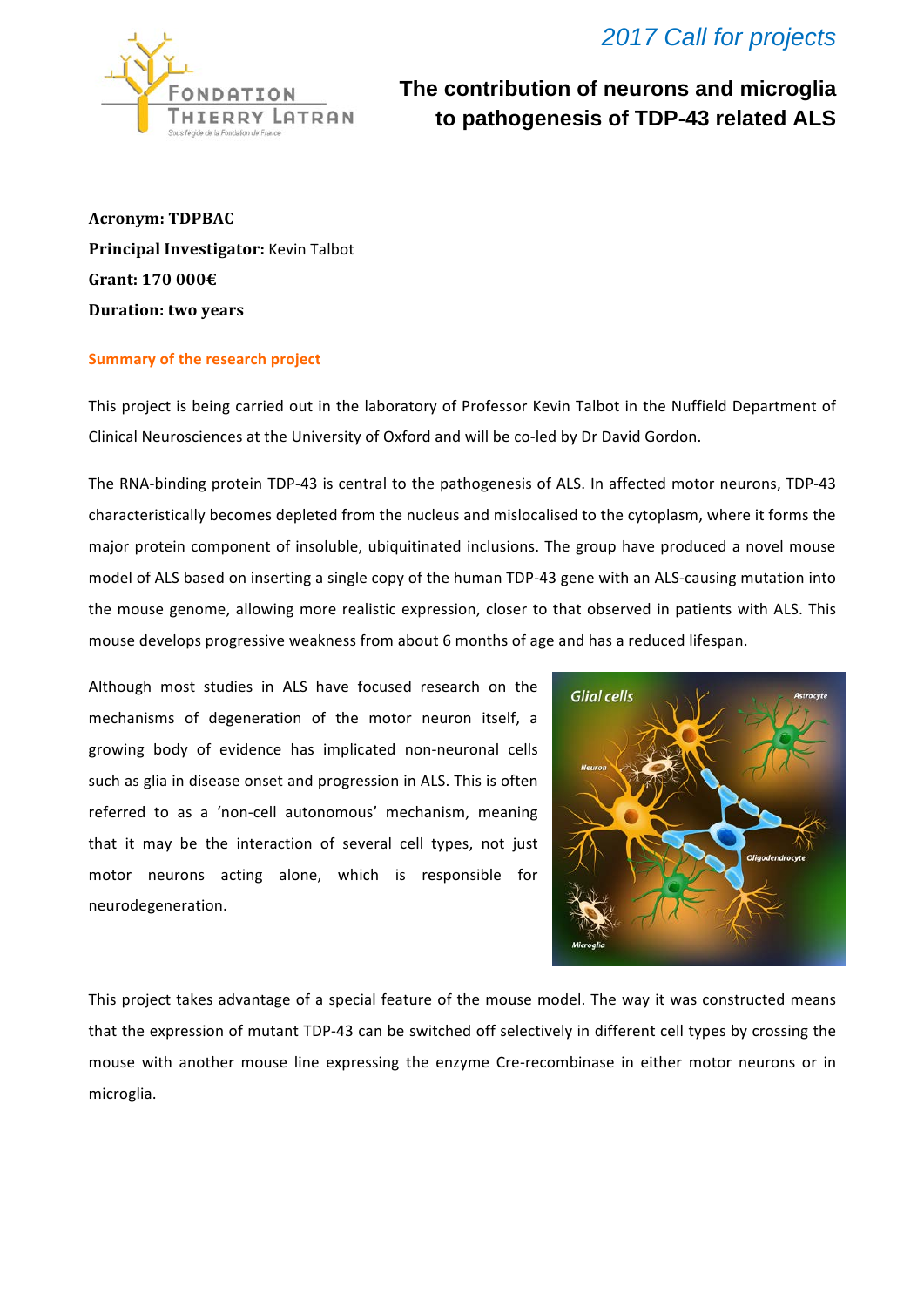

## **The contribution of neurons and microglia to pathogenesis of TDP-43 related ALS**

**Acronym: TDPBAC Principal Investigator:** Kevin Talbot Grant: 170 000€ **Duration: two years** 

## **Summary of the research project**

This project is being carried out in the laboratory of Professor Kevin Talbot in the Nuffield Department of Clinical Neurosciences at the University of Oxford and will be co-led by Dr David Gordon.

The RNA-binding protein TDP-43 is central to the pathogenesis of ALS. In affected motor neurons, TDP-43 characteristically becomes depleted from the nucleus and mislocalised to the cytoplasm, where it forms the major protein component of insoluble, ubiquitinated inclusions. The group have produced a novel mouse model of ALS based on inserting a single copy of the human TDP-43 gene with an ALS-causing mutation into the mouse genome, allowing more realistic expression, closer to that observed in patients with ALS. This mouse develops progressive weakness from about 6 months of age and has a reduced lifespan.

Although most studies in ALS have focused research on the mechanisms of degeneration of the motor neuron itself, a growing body of evidence has implicated non-neuronal cells such as glia in disease onset and progression in ALS. This is often referred to as a 'non-cell autonomous' mechanism, meaning that it may be the interaction of several cell types, not just motor neurons acting alone, which is responsible for neurodegeneration. 



This project takes advantage of a special feature of the mouse model. The way it was constructed means that the expression of mutant TDP-43 can be switched off selectively in different cell types by crossing the mouse with another mouse line expressing the enzyme Cre-recombinase in either motor neurons or in microglia.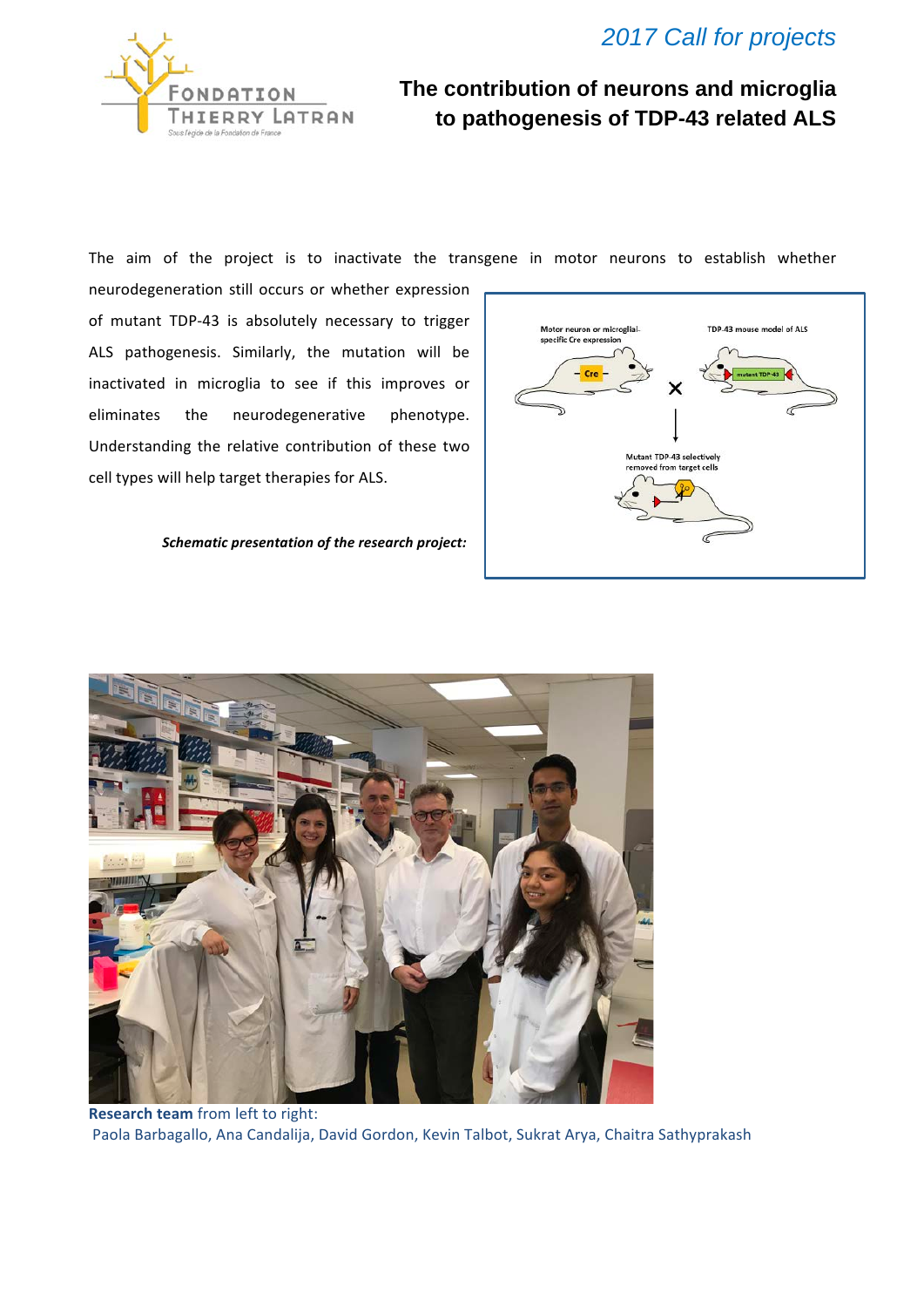



## **The contribution of neurons and microglia to pathogenesis of TDP-43 related ALS**

The aim of the project is to inactivate the transgene in motor neurons to establish whether

neurodegeneration still occurs or whether expression of mutant TDP-43 is absolutely necessary to trigger ALS pathogenesis. Similarly, the mutation will be inactivated in microglia to see if this improves or eliminates the neurodegenerative phenotype. Understanding the relative contribution of these two cell types will help target therapies for ALS.

**Schematic presentation of the research project:** 





**Research team** from left to right: Paola Barbagallo, Ana Candalija, David Gordon, Kevin Talbot, Sukrat Arya, Chaitra Sathyprakash